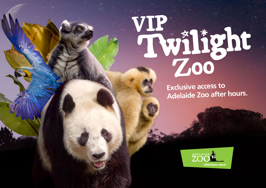## **VIP Zoo**

**Exclusive access to Adelaide Zoo after hours.**